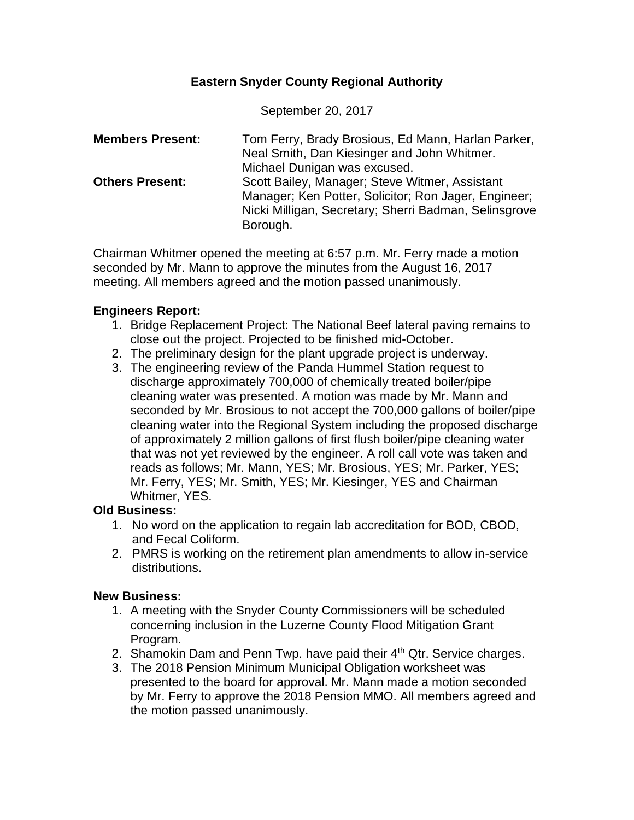# **Eastern Snyder County Regional Authority**

September 20, 2017

| <b>Members Present:</b> | Tom Ferry, Brady Brosious, Ed Mann, Harlan Parker,    |
|-------------------------|-------------------------------------------------------|
|                         | Neal Smith, Dan Kiesinger and John Whitmer.           |
|                         | Michael Dunigan was excused.                          |
| <b>Others Present:</b>  | Scott Bailey, Manager; Steve Witmer, Assistant        |
|                         | Manager; Ken Potter, Solicitor; Ron Jager, Engineer;  |
|                         | Nicki Milligan, Secretary; Sherri Badman, Selinsgrove |
|                         | Borough.                                              |

Chairman Whitmer opened the meeting at 6:57 p.m. Mr. Ferry made a motion seconded by Mr. Mann to approve the minutes from the August 16, 2017 meeting. All members agreed and the motion passed unanimously.

### **Engineers Report:**

- 1. Bridge Replacement Project: The National Beef lateral paving remains to close out the project. Projected to be finished mid-October.
- 2. The preliminary design for the plant upgrade project is underway.
- 3. The engineering review of the Panda Hummel Station request to discharge approximately 700,000 of chemically treated boiler/pipe cleaning water was presented. A motion was made by Mr. Mann and seconded by Mr. Brosious to not accept the 700,000 gallons of boiler/pipe cleaning water into the Regional System including the proposed discharge of approximately 2 million gallons of first flush boiler/pipe cleaning water that was not yet reviewed by the engineer. A roll call vote was taken and reads as follows; Mr. Mann, YES; Mr. Brosious, YES; Mr. Parker, YES; Mr. Ferry, YES; Mr. Smith, YES; Mr. Kiesinger, YES and Chairman Whitmer, YES.

# **Old Business:**

- 1. No word on the application to regain lab accreditation for BOD, CBOD, and Fecal Coliform.
- 2. PMRS is working on the retirement plan amendments to allow in-service distributions.

# **New Business:**

- 1. A meeting with the Snyder County Commissioners will be scheduled concerning inclusion in the Luzerne County Flood Mitigation Grant Program.
- 2. Shamokin Dam and Penn Twp. have paid their  $4<sup>th</sup>$  Qtr. Service charges.
- 3. The 2018 Pension Minimum Municipal Obligation worksheet was presented to the board for approval. Mr. Mann made a motion seconded by Mr. Ferry to approve the 2018 Pension MMO. All members agreed and the motion passed unanimously.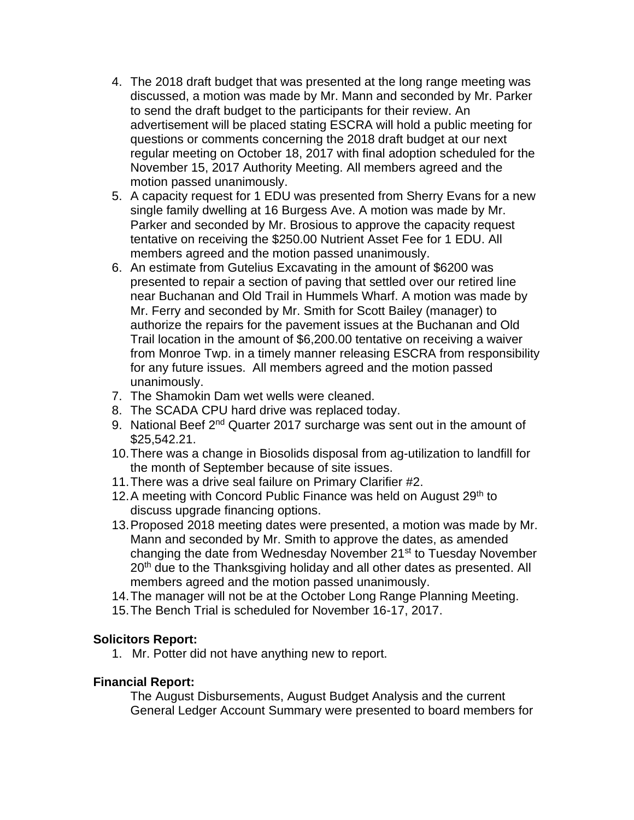- 4. The 2018 draft budget that was presented at the long range meeting was discussed, a motion was made by Mr. Mann and seconded by Mr. Parker to send the draft budget to the participants for their review. An advertisement will be placed stating ESCRA will hold a public meeting for questions or comments concerning the 2018 draft budget at our next regular meeting on October 18, 2017 with final adoption scheduled for the November 15, 2017 Authority Meeting. All members agreed and the motion passed unanimously.
- 5. A capacity request for 1 EDU was presented from Sherry Evans for a new single family dwelling at 16 Burgess Ave. A motion was made by Mr. Parker and seconded by Mr. Brosious to approve the capacity request tentative on receiving the \$250.00 Nutrient Asset Fee for 1 EDU. All members agreed and the motion passed unanimously.
- 6. An estimate from Gutelius Excavating in the amount of \$6200 was presented to repair a section of paving that settled over our retired line near Buchanan and Old Trail in Hummels Wharf. A motion was made by Mr. Ferry and seconded by Mr. Smith for Scott Bailey (manager) to authorize the repairs for the pavement issues at the Buchanan and Old Trail location in the amount of \$6,200.00 tentative on receiving a waiver from Monroe Twp. in a timely manner releasing ESCRA from responsibility for any future issues. All members agreed and the motion passed unanimously.
- 7. The Shamokin Dam wet wells were cleaned.
- 8. The SCADA CPU hard drive was replaced today.
- 9. National Beef 2<sup>nd</sup> Quarter 2017 surcharge was sent out in the amount of \$25,542.21.
- 10.There was a change in Biosolids disposal from ag-utilization to landfill for the month of September because of site issues.
- 11.There was a drive seal failure on Primary Clarifier #2.
- 12. A meeting with Concord Public Finance was held on August 29th to discuss upgrade financing options.
- 13.Proposed 2018 meeting dates were presented, a motion was made by Mr. Mann and seconded by Mr. Smith to approve the dates, as amended changing the date from Wednesday November 21<sup>st</sup> to Tuesday November 20<sup>th</sup> due to the Thanksgiving holiday and all other dates as presented. All members agreed and the motion passed unanimously.
- 14.The manager will not be at the October Long Range Planning Meeting.
- 15.The Bench Trial is scheduled for November 16-17, 2017.

# **Solicitors Report:**

1. Mr. Potter did not have anything new to report.

# **Financial Report:**

The August Disbursements, August Budget Analysis and the current General Ledger Account Summary were presented to board members for